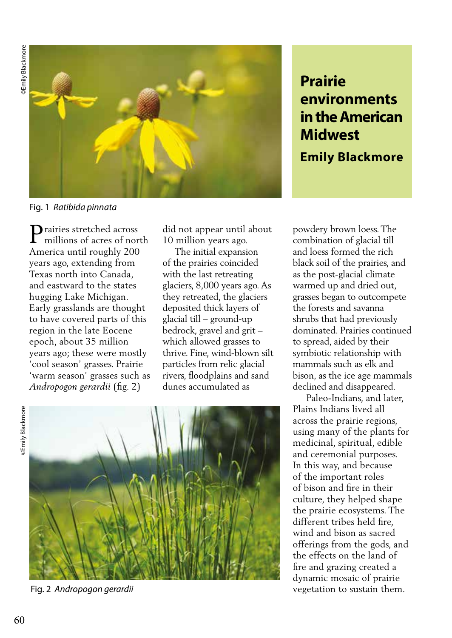**BEmily Blackmore** ©Emily Blackmore ©Emily Blackmore



## Fig. 1 *Ratibida pinnata*

Prairies stretched across<br>millions of acres of nor millions of acres of north America until roughly 200 years ago, extending from Texas north into Canada, and eastward to the states hugging Lake Michigan. Early grasslands are thought to have covered parts of this region in the late Eocene epoch, about 35 million years ago; these were mostly 'cool season' grasses. Prairie 'warm season' grasses such as *Andropogon gerardii* (fig. 2)

did not appear until about 10 million years ago.

 The initial expansion of the prairies coincided with the last retreating glaciers, 8,000 years ago. As they retreated, the glaciers deposited thick layers of glacial till – ground-up bedrock, gravel and grit – which allowed grasses to thrive. Fine, wind-blown silt particles from relic glacial rivers, floodplains and sand dunes accumulated as

**Blackmore** 



Fig. 2 *Andropogon gerardii*

# **Prairie environments in the American Midwest**

**Emily Blackmore**

powdery brown loess. The combination of glacial till and loess formed the rich black soil of the prairies, and as the post-glacial climate warmed up and dried out, grasses began to outcompete the forests and savanna shrubs that had previously dominated. Prairies continued to spread, aided by their symbiotic relationship with mammals such as elk and bison, as the ice age mammals declined and disappeared.

 Paleo-Indians, and later, Plains Indians lived all across the prairie regions, using many of the plants for medicinal, spiritual, edible and ceremonial purposes. In this way, and because of the important roles of bison and fire in their culture, they helped shape the prairie ecosystems. The different tribes held fire, wind and bison as sacred offerings from the gods, and the effects on the land of fire and grazing created a dynamic mosaic of prairie vegetation to sustain them.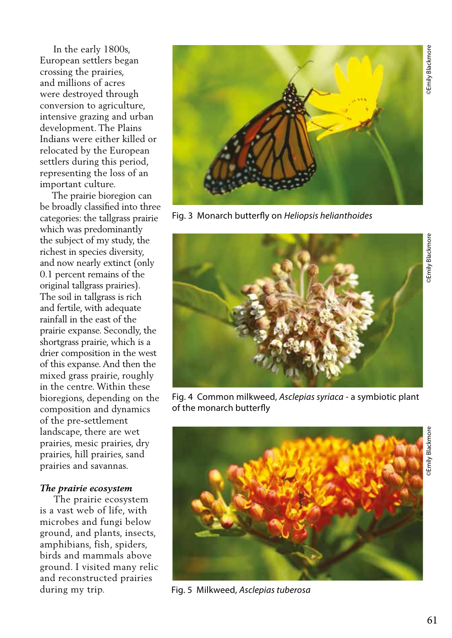In the early 1800s, European settlers began crossing the prairies, and millions of acres were destroyed through conversion to agriculture, intensive grazing and urban development. The Plains Indians were either killed or relocated by the European settlers during this period, representing the loss of an important culture.

 The prairie bioregion can be broadly classified into three categories: the tallgrass prairie which was predominantly the subject of my study, the richest in species diversity, and now nearly extinct (only 0.1 percent remains of the original tallgrass prairies). The soil in tallgrass is rich and fertile, with adequate rainfall in the east of the prairie expanse. Secondly, the shortgrass prairie, which is a drier composition in the west of this expanse. And then the mixed grass prairie, roughly in the centre. Within these bioregions, depending on the composition and dynamics of the pre-settlement landscape, there are wet prairies, mesic prairies, dry prairies, hill prairies, sand prairies and savannas.

#### *The prairie ecosystem*

 The prairie ecosystem is a vast web of life, with microbes and fungi below ground, and plants, insects, amphibians, fish, spiders, birds and mammals above ground. I visited many relic and reconstructed prairies during my trip.



Fig. 3 Monarch butterfly on *Heliopsis helianthoides*



Fig. 4 Common milkweed, *Asclepias syriaca* - a symbiotic plant of the monarch butterfly



Fig. 5 Milkweed, *Asclepias tuberosa*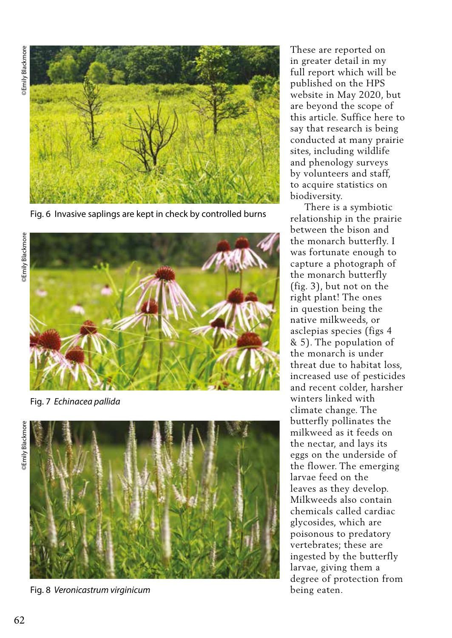**BEmily Blackmore** 



Fig. 6 Invasive saplings are kept in check by controlled burns



Fig. 7 *Echinacea pallida*



Fig. 8 *Veronicastrum virginicum*

These are reported on in greater detail in my full report which will be published on the HPS website in May 2020, but are beyond the scope of this article. Suffice here to say that research is being conducted at many prairie sites, including wildlife and phenology surveys by volunteers and staff, to acquire statistics on biodiversity.

 There is a symbiotic relationship in the prairie between the bison and the monarch butterfly. I was fortunate enough to capture a photograph of the monarch butterfly (fig. 3), but not on the right plant! The ones in question being the native milkweeds, or asclepias species (figs 4 & 5). The population of the monarch is under threat due to habitat loss, increased use of pesticides and recent colder, harsher winters linked with climate change. The butterfly pollinates the milkweed as it feeds on the nectar, and lays its eggs on the underside of the flower. The emerging larvae feed on the leaves as they develop. Milkweeds also contain chemicals called cardiac glycosides, which are poisonous to predatory vertebrates; these are ingested by the butterfly larvae, giving them a degree of protection from being eaten.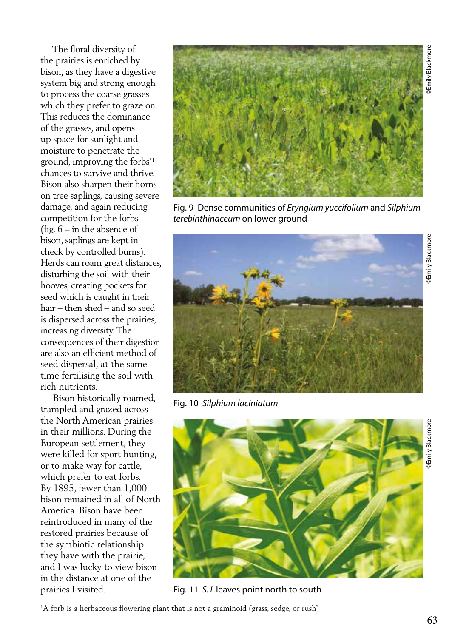The floral diversity of the prairies is enriched by bison, as they have a digestive system big and strong enough to process the coarse grasses which they prefer to graze on. This reduces the dominance of the grasses, and opens up space for sunlight and moisture to penetrate the ground, improving the forbs'1 chances to survive and thrive. Bison also sharpen their horns on tree saplings, causing severe damage, and again reducing competition for the forbs (fig. 6 – in the absence of bison, saplings are kept in check by controlled burns). Herds can roam great distances, disturbing the soil with their hooves, creating pockets for seed which is caught in their hair – then shed – and so seed is dispersed across the prairies, increasing diversity. The consequences of their digestion are also an efficient method of seed dispersal, at the same time fertilising the soil with rich nutrients.

 Bison historically roamed, trampled and grazed across the North American prairies in their millions. During the European settlement, they were killed for sport hunting, or to make way for cattle, which prefer to eat forbs. By 1895, fewer than 1,000 bison remained in all of North America. Bison have been reintroduced in many of the restored prairies because of the symbiotic relationship they have with the prairie, and I was lucky to view bison in the distance at one of the prairies I visited.



Fig. 9 Dense communities of *Eryngium yuccifolium* and *Silphium terebinthinaceum* on lower ground



Fig. 10 *Silphium laciniatum* 



Fig. 11 *S. l.* leaves point north to south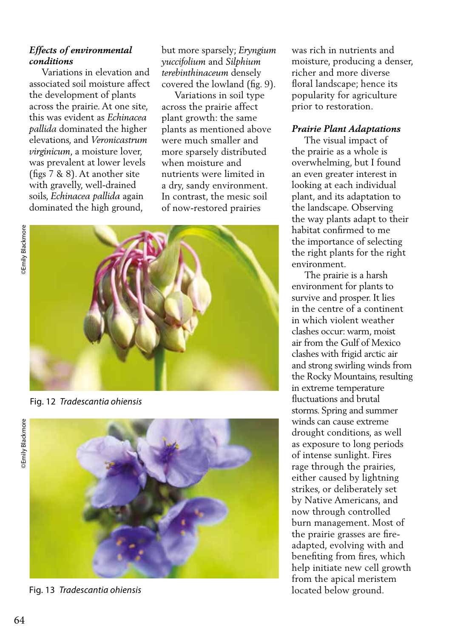# *Effects of environmental conditions*

 Variations in elevation and associated soil moisture affect the development of plants across the prairie. At one site, this was evident as *Echinacea pallida* dominated the higher elevations, and *Veronicastrum virginicum*, a moisture lover, was prevalent at lower levels (figs 7 & 8). At another site with gravelly, well-drained soils, *Echinacea pallida* again dominated the high ground,

but more sparsely; *Eryngium yuccifolium* and *Silphium terebinthinaceum* densely covered the lowland (fig. 9).

 Variations in soil type across the prairie affect plant growth: the same plants as mentioned above were much smaller and more sparsely distributed when moisture and nutrients were limited in a dry, sandy environment. In contrast, the mesic soil of now-restored prairies



Fig. 12 *Tradescantia ohiensis*





Fig. 13 *Tradescantia ohiensis*

was rich in nutrients and moisture, producing a denser, richer and more diverse floral landscape; hence its popularity for agriculture prior to restoration.

### *Prairie Plant Adaptations*

 The visual impact of the prairie as a whole is overwhelming, but I found an even greater interest in looking at each individual plant, and its adaptation to the landscape. Observing the way plants adapt to their habitat confirmed to me the importance of selecting the right plants for the right environment.

 The prairie is a harsh environment for plants to survive and prosper. It lies in the centre of a continent in which violent weather clashes occur: warm, moist air from the Gulf of Mexico clashes with frigid arctic air and strong swirling winds from the Rocky Mountains, resulting in extreme temperature fluctuations and brutal storms. Spring and summer winds can cause extreme drought conditions, as well as exposure to long periods of intense sunlight. Fires rage through the prairies, either caused by lightning strikes, or deliberately set by Native Americans, and now through controlled burn management. Most of the prairie grasses are fireadapted, evolving with and benefiting from fires, which help initiate new cell growth from the apical meristem located below ground.